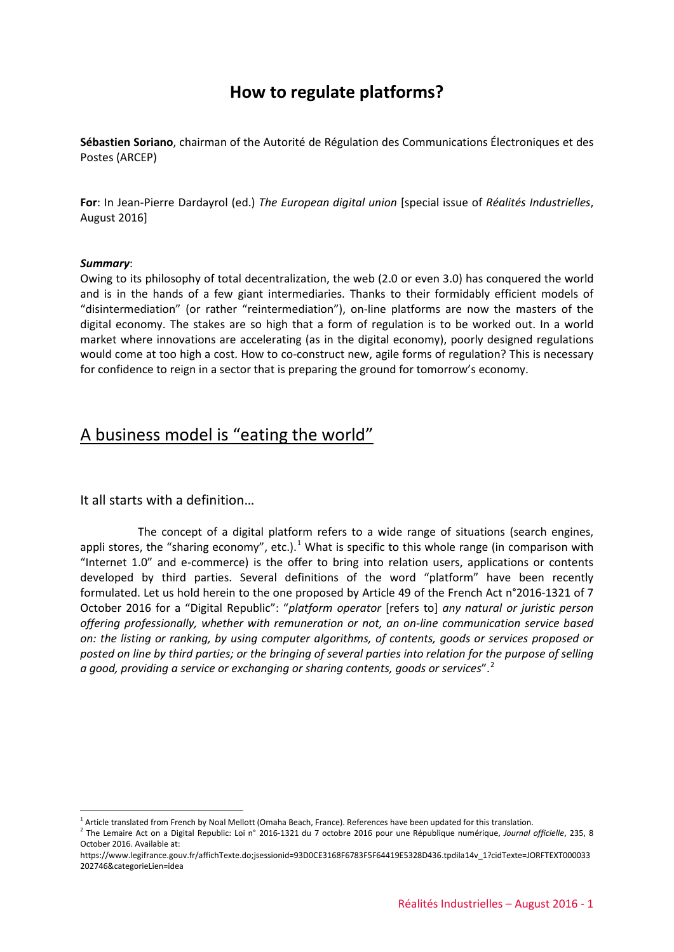# **How to regulate platforms?**

**Sébastien Soriano**, chairman of the Autorité de Régulation des Communications Électroniques et des Postes (ARCEP)

**For**: In Jean-Pierre Dardayrol (ed.) *The European digital union* [special issue of *Réalités Industrielles*, August 2016]

#### *Summary*:

<u>.</u>

Owing to its philosophy of total decentralization, the web (2.0 or even 3.0) has conquered the world and is in the hands of a few giant intermediaries. Thanks to their formidably efficient models of "disintermediation" (or rather "reintermediation"), on-line platforms are now the masters of the digital economy. The stakes are so high that a form of regulation is to be worked out. In a world market where innovations are accelerating (as in the digital economy), poorly designed regulations would come at too high a cost. How to co-construct new, agile forms of regulation? This is necessary for confidence to reign in a sector that is preparing the ground for tomorrow's economy.

# A business model is "eating the world"

It all starts with a definition…

The concept of a digital platform refers to a wide range of situations (search engines, appli stores, the "sharing economy", etc.).<sup>[1](#page-0-0)</sup> What is specific to this whole range (in comparison with "Internet 1.0" and e-commerce) is the offer to bring into relation users, applications or contents developed by third parties. Several definitions of the word "platform" have been recently formulated. Let us hold herein to the one proposed by Article 49 of the French Act n°2016-1321 of 7 October 2016 for a "Digital Republic": "*platform operator* [refers to] *any natural or juristic person offering professionally, whether with remuneration or not, an on-line communication service based on: the listing or ranking, by using computer algorithms, of contents, goods or services proposed or posted on line by third parties; or the bringing of several parties into relation for the purpose of selling a good, providing a service or exchanging or sharing contents, goods or services*".[2](#page-0-1)

<span id="page-0-0"></span><sup>&</sup>lt;sup>1</sup> Article translated from French by Noal Mellott (Omaha Beach, France). References have been updated for this translation.

<span id="page-0-1"></span><sup>2</sup> The Lemaire Act on a Digital Republic: Loi n° 2016-1321 du 7 octobre 2016 pour une République numérique, *Journal officielle*, 235, 8 October 2016. Available at:

https://www.legifrance.gouv.fr/affichTexte.do;jsessionid=93D0CE3168F6783F5F64419E5328D436.tpdila14v\_1?cidTexte=JORFTEXT000033 202746&categorieLien=idea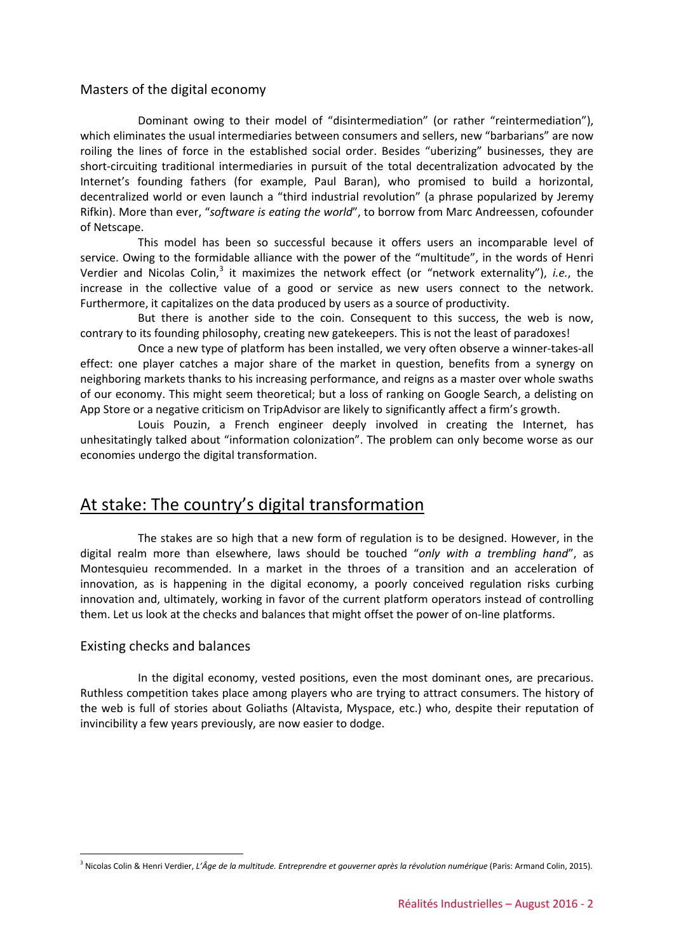### Masters of the digital economy

Dominant owing to their model of "disintermediation" (or rather "reintermediation"), which eliminates the usual intermediaries between consumers and sellers, new "barbarians" are now roiling the lines of force in the established social order. Besides "uberizing" businesses, they are short-circuiting traditional intermediaries in pursuit of the total decentralization advocated by the Internet's founding fathers (for example, Paul Baran), who promised to build a horizontal, decentralized world or even launch a "third industrial revolution" (a phrase popularized by Jeremy Rifkin). More than ever, "*software is eating the world*", to borrow from Marc Andreessen, cofounder of Netscape.

This model has been so successful because it offers users an incomparable level of service. Owing to the formidable alliance with the power of the "multitude", in the words of Henri Verdier and Nicolas Colin,<sup>[3](#page-1-0)</sup> it maximizes the network effect (or "network externality"), *i.e.*, the increase in the collective value of a good or service as new users connect to the network. Furthermore, it capitalizes on the data produced by users as a source of productivity.

But there is another side to the coin. Consequent to this success, the web is now, contrary to its founding philosophy, creating new gatekeepers. This is not the least of paradoxes!

Once a new type of platform has been installed, we very often observe a winner-takes-all effect: one player catches a major share of the market in question, benefits from a synergy on neighboring markets thanks to his increasing performance, and reigns as a master over whole swaths of our economy. This might seem theoretical; but a loss of ranking on Google Search, a delisting on App Store or a negative criticism on TripAdvisor are likely to significantly affect a firm's growth.

Louis Pouzin, a French engineer deeply involved in creating the Internet, has unhesitatingly talked about "information colonization". The problem can only become worse as our economies undergo the digital transformation.

## At stake: The country's digital transformation

The stakes are so high that a new form of regulation is to be designed. However, in the digital realm more than elsewhere, laws should be touched "*only with a trembling hand*", as Montesquieu recommended. In a market in the throes of a transition and an acceleration of innovation, as is happening in the digital economy, a poorly conceived regulation risks curbing innovation and, ultimately, working in favor of the current platform operators instead of controlling them. Let us look at the checks and balances that might offset the power of on-line platforms.

### Existing checks and balances

-

In the digital economy, vested positions, even the most dominant ones, are precarious. Ruthless competition takes place among players who are trying to attract consumers. The history of the web is full of stories about Goliaths (Altavista, Myspace, etc.) who, despite their reputation of invincibility a few years previously, are now easier to dodge.

<span id="page-1-0"></span><sup>3</sup> Nicolas Colin & Henri Verdier, *L'Âge de la multitude. Entreprendre et gouverner après la révolution numérique* (Paris: Armand Colin, 2015).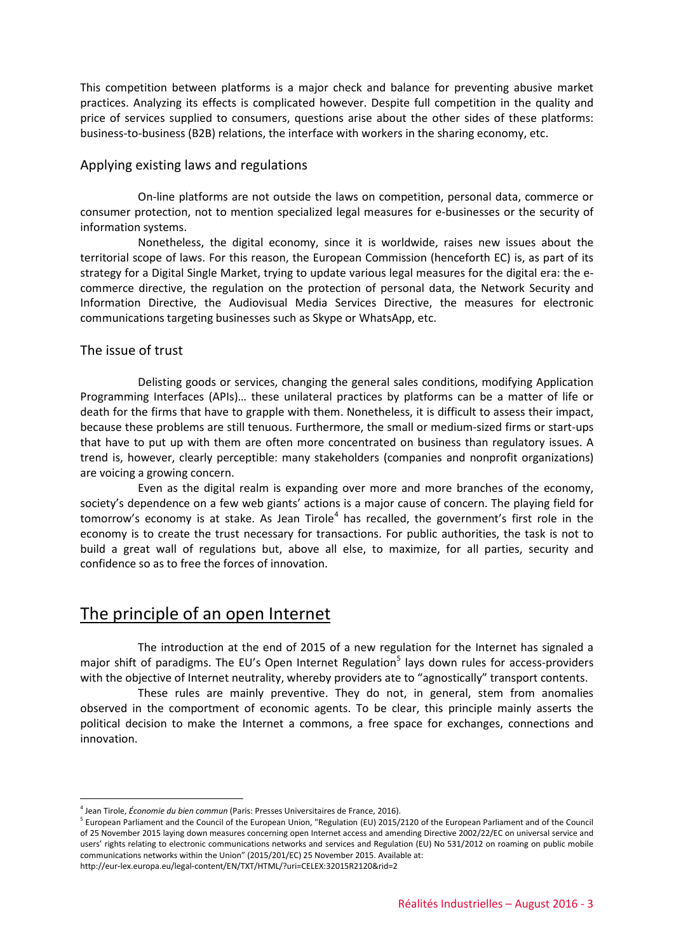This competition between platforms is a major check and balance for preventing abusive market practices. Analyzing its effects is complicated however. Despite full competition in the quality and price of services supplied to consumers, questions arise about the other sides of these platforms: business-to-business (B2B) relations, the interface with workers in the sharing economy, etc.

### Applying existing laws and regulations

On-line platforms are not outside the laws on competition, personal data, commerce or consumer protection, not to mention specialized legal measures for e-businesses or the security of information systems.

Nonetheless, the digital economy, since it is worldwide, raises new issues about the territorial scope of laws. For this reason, the European Commission (henceforth EC) is, as part of its strategy for a Digital Single Market, trying to update various legal measures for the digital era: the ecommerce directive, the regulation on the protection of personal data, the Network Security and Information Directive, the Audiovisual Media Services Directive, the measures for electronic communications targeting businesses such as Skype or WhatsApp, etc.

### The issue of trust

Delisting goods or services, changing the general sales conditions, modifying Application Programming Interfaces (APIs)… these unilateral practices by platforms can be a matter of life or death for the firms that have to grapple with them. Nonetheless, it is difficult to assess their impact, because these problems are still tenuous. Furthermore, the small or medium-sized firms or start-ups that have to put up with them are often more concentrated on business than regulatory issues. A trend is, however, clearly perceptible: many stakeholders (companies and nonprofit organizations) are voicing a growing concern.

Even as the digital realm is expanding over more and more branches of the economy, society's dependence on a few web giants' actions is a major cause of concern. The playing field for tomorrow's economy is at stake. As Jean Tirole<sup>[4](#page-2-0)</sup> has recalled, the government's first role in the economy is to create the trust necessary for transactions. For public authorities, the task is not to build a great wall of regulations but, above all else, to maximize, for all parties, security and confidence so as to free the forces of innovation.

## The principle of an open Internet

The introduction at the end of 2015 of a new regulation for the Internet has signaled a major shift of paradigms. The EU's Open Internet Regulation<sup>[5](#page-2-1)</sup> lays down rules for access-providers with the objective of Internet neutrality, whereby providers ate to "agnostically" transport contents.

These rules are mainly preventive. They do not, in general, stem from anomalies observed in the comportment of economic agents. To be clear, this principle mainly asserts the political decision to make the Internet a commons, a free space for exchanges, connections and innovation.

<sup>&</sup>lt;u>.</u> <sup>4</sup> Jean Tirole, *Économie du bien commun* (Paris: Presses Universitaires de France, 2016).

<span id="page-2-1"></span><span id="page-2-0"></span><sup>&</sup>lt;sup>5</sup> European Parliament and the Council of the European Union, "Regulation (EU) 2015/2120 of the European Parliament and of the Council of 25 November 2015 laying down measures concerning open Internet access and amending Directive 2002/22/EC on universal service and users' rights relating to electronic communications networks and services and Regulation (EU) No 531/2012 on roaming on public mobile communications networks within the Union" (2015/201/EC) 25 November 2015. Available at: http://eur-lex.europa.eu/legal-content/EN/TXT/HTML/?uri=CELEX:32015R2120&rid=2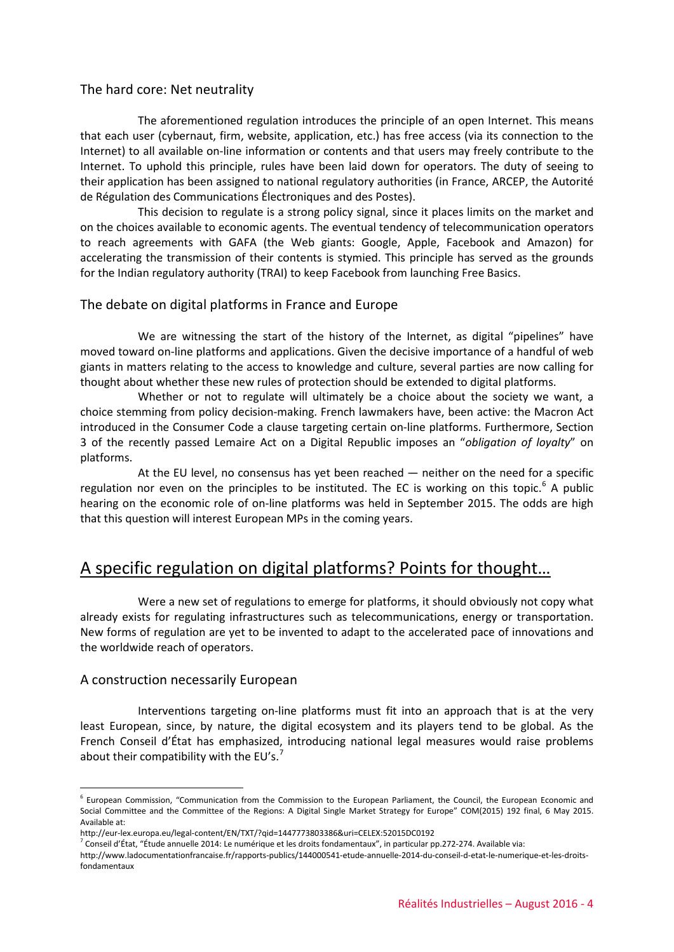### The hard core: Net neutrality

The aforementioned regulation introduces the principle of an open Internet. This means that each user (cybernaut, firm, website, application, etc.) has free access (via its connection to the Internet) to all available on-line information or contents and that users may freely contribute to the Internet. To uphold this principle, rules have been laid down for operators. The duty of seeing to their application has been assigned to national regulatory authorities (in France, ARCEP, the Autorité de Régulation des Communications Électroniques and des Postes).

This decision to regulate is a strong policy signal, since it places limits on the market and on the choices available to economic agents. The eventual tendency of telecommunication operators to reach agreements with GAFA (the Web giants: Google, Apple, Facebook and Amazon) for accelerating the transmission of their contents is stymied. This principle has served as the grounds for the Indian regulatory authority (TRAI) to keep Facebook from launching Free Basics.

### The debate on digital platforms in France and Europe

We are witnessing the start of the history of the Internet, as digital "pipelines" have moved toward on-line platforms and applications. Given the decisive importance of a handful of web giants in matters relating to the access to knowledge and culture, several parties are now calling for thought about whether these new rules of protection should be extended to digital platforms.

Whether or not to regulate will ultimately be a choice about the society we want, a choice stemming from policy decision-making. French lawmakers have, been active: the Macron Act introduced in the Consumer Code a clause targeting certain on-line platforms. Furthermore, Section 3 of the recently passed Lemaire Act on a Digital Republic imposes an "*obligation of loyalty*" on platforms.

At the EU level, no consensus has yet been reached — neither on the need for a specific regulation nor even on the principles to be instituted. The EC is working on this topic.<sup>[6](#page-3-0)</sup> A public hearing on the economic role of on-line platforms was held in September 2015. The odds are high that this question will interest European MPs in the coming years.

# A specific regulation on digital platforms? Points for thought…

Were a new set of regulations to emerge for platforms, it should obviously not copy what already exists for regulating infrastructures such as telecommunications, energy or transportation. New forms of regulation are yet to be invented to adapt to the accelerated pace of innovations and the worldwide reach of operators.

#### A construction necessarily European

<u>.</u>

Interventions targeting on-line platforms must fit into an approach that is at the very least European, since, by nature, the digital ecosystem and its players tend to be global. As the French Conseil d'État has emphasized, introducing national legal measures would raise problems about their compatibility with the EU's.<sup>[7](#page-3-1)</sup>

<span id="page-3-0"></span><sup>6</sup> European Commission, "Communication from the Commission to the European Parliament, the Council, the European Economic and Social Committee and the Committee of the Regions: A Digital Single Market Strategy for Europe" COM(2015) 192 final, 6 May 2015. Available at:

<span id="page-3-1"></span>http://eur-lex.europa.eu/legal-content/EN/TXT/?qid=1447773803386&uri=CELEX:52015DC0192

 $^7$  Conseil d'État, "Étude annuelle 2014: Le numérique et les droits fondamentaux", in particular pp.272-274. Available via:

http://www.ladocumentationfrancaise.fr/rapports-publics/144000541-etude-annuelle-2014-du-conseil-d-etat-le-numerique-et-les-droitsfondamentaux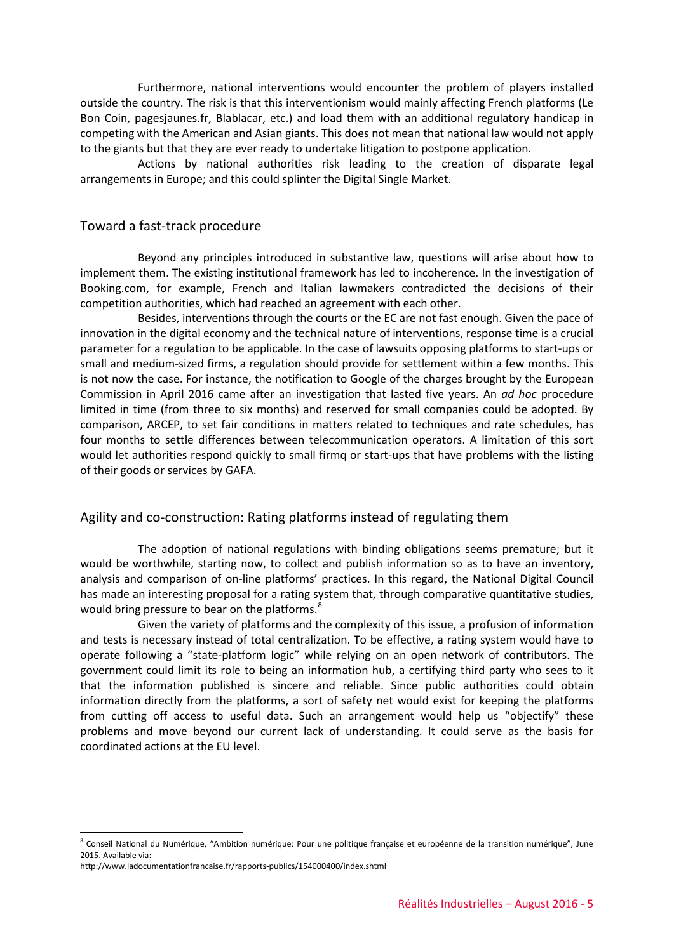Furthermore, national interventions would encounter the problem of players installed outside the country. The risk is that this interventionism would mainly affecting French platforms (Le Bon Coin, pagesjaunes.fr, Blablacar, etc.) and load them with an additional regulatory handicap in competing with the American and Asian giants. This does not mean that national law would not apply to the giants but that they are ever ready to undertake litigation to postpone application.

Actions by national authorities risk leading to the creation of disparate legal arrangements in Europe; and this could splinter the Digital Single Market.

### Toward a fast-track procedure

Beyond any principles introduced in substantive law, questions will arise about how to implement them. The existing institutional framework has led to incoherence. In the investigation of Booking.com, for example, French and Italian lawmakers contradicted the decisions of their competition authorities, which had reached an agreement with each other.

Besides, interventions through the courts or the EC are not fast enough. Given the pace of innovation in the digital economy and the technical nature of interventions, response time is a crucial parameter for a regulation to be applicable. In the case of lawsuits opposing platforms to start-ups or small and medium-sized firms, a regulation should provide for settlement within a few months. This is not now the case. For instance, the notification to Google of the charges brought by the European Commission in April 2016 came after an investigation that lasted five years. An *ad hoc* procedure limited in time (from three to six months) and reserved for small companies could be adopted. By comparison, ARCEP, to set fair conditions in matters related to techniques and rate schedules, has four months to settle differences between telecommunication operators. A limitation of this sort would let authorities respond quickly to small firmq or start-ups that have problems with the listing of their goods or services by GAFA.

#### Agility and co-construction: Rating platforms instead of regulating them

The adoption of national regulations with binding obligations seems premature; but it would be worthwhile, starting now, to collect and publish information so as to have an inventory, analysis and comparison of on-line platforms' practices. In this regard, the National Digital Council has made an interesting proposal for a rating system that, through comparative quantitative studies, would bring pressure to bear on the platforms.<sup>[8](#page-4-0)</sup>

Given the variety of platforms and the complexity of this issue, a profusion of information and tests is necessary instead of total centralization. To be effective, a rating system would have to operate following a "state-platform logic" while relying on an open network of contributors. The government could limit its role to being an information hub, a certifying third party who sees to it that the information published is sincere and reliable. Since public authorities could obtain information directly from the platforms, a sort of safety net would exist for keeping the platforms from cutting off access to useful data. Such an arrangement would help us "objectify" these problems and move beyond our current lack of understanding. It could serve as the basis for coordinated actions at the EU level.

-

<span id="page-4-0"></span><sup>&</sup>lt;sup>8</sup> Conseil National du Numérique, "Ambition numérique: Pour une politique française et européenne de la transition numérique", June 2015. Available via:

http://www.ladocumentationfrancaise.fr/rapports-publics/154000400/index.shtml